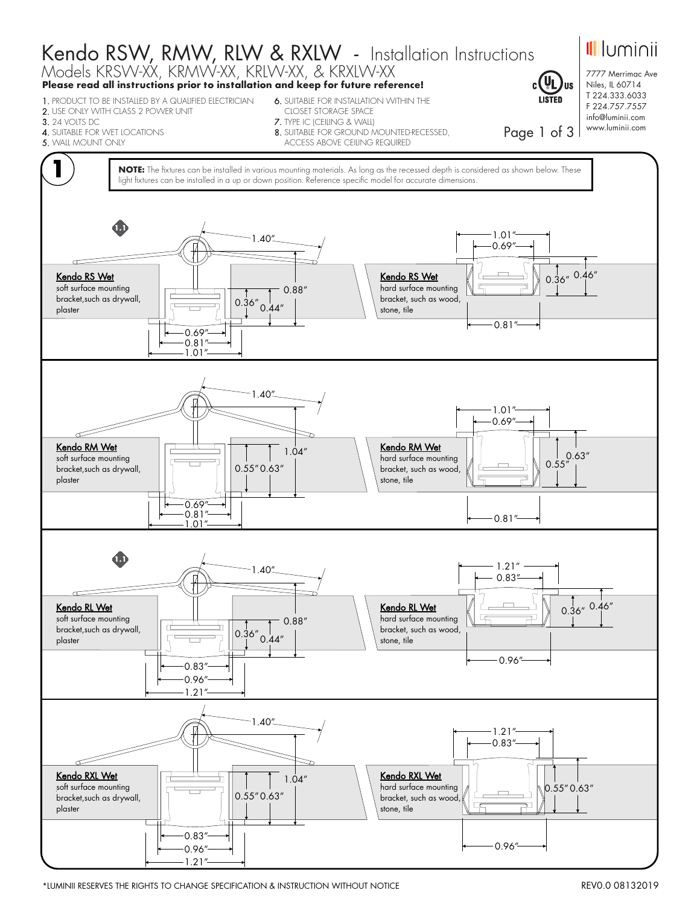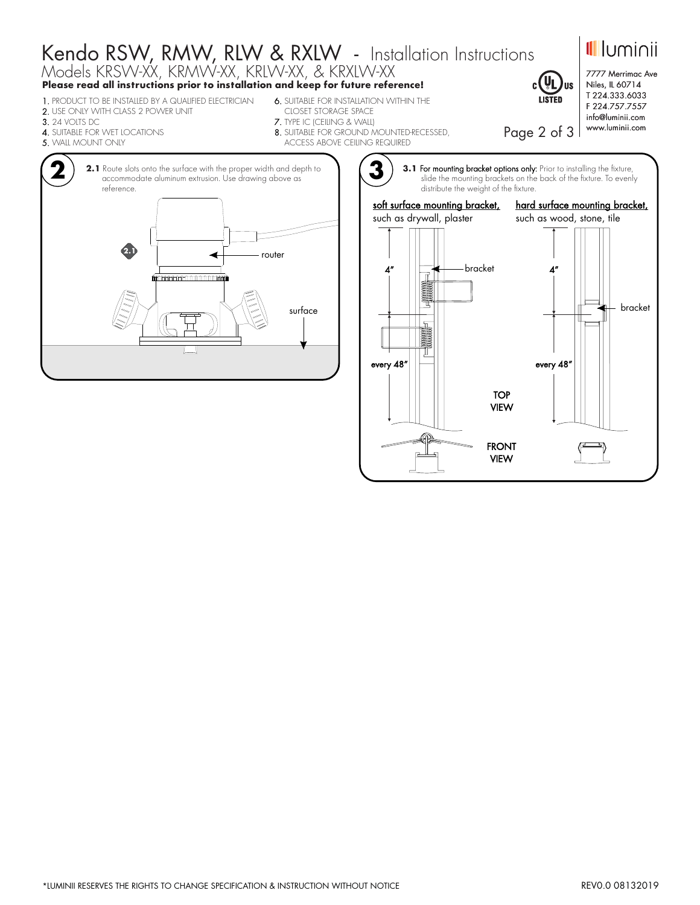